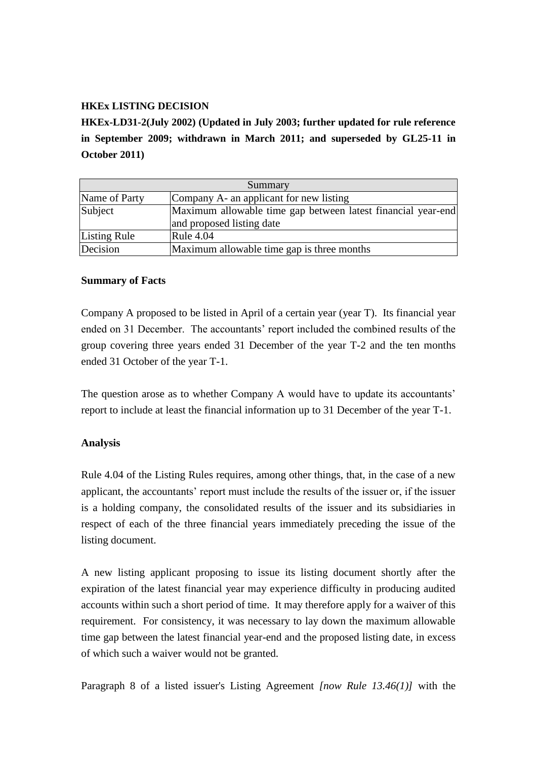## **HKEx LISTING DECISION**

**HKEx-LD31-2(July 2002) (Updated in July 2003; further updated for rule reference in September 2009; withdrawn in March 2011; and superseded by GL25-11 in October 2011)**

| Summary       |                                                                                           |
|---------------|-------------------------------------------------------------------------------------------|
| Name of Party | Company A- an applicant for new listing                                                   |
| Subject       | Maximum allowable time gap between latest financial year-end<br>and proposed listing date |
|               |                                                                                           |
| Listing Rule  | <b>Rule 4.04</b>                                                                          |
| Decision      | Maximum allowable time gap is three months                                                |

## **Summary of Facts**

Company A proposed to be listed in April of a certain year (year T). Its financial year ended on 31 December. The accountants' report included the combined results of the group covering three years ended 31 December of the year T-2 and the ten months ended 31 October of the year T-1.

The question arose as to whether Company A would have to update its accountants' report to include at least the financial information up to 31 December of the year T-1.

## **Analysis**

Rule 4.04 of the Listing Rules requires, among other things, that, in the case of a new applicant, the accountants' report must include the results of the issuer or, if the issuer is a holding company, the consolidated results of the issuer and its subsidiaries in respect of each of the three financial years immediately preceding the issue of the listing document.

A new listing applicant proposing to issue its listing document shortly after the expiration of the latest financial year may experience difficulty in producing audited accounts within such a short period of time. It may therefore apply for a waiver of this requirement. For consistency, it was necessary to lay down the maximum allowable time gap between the latest financial year-end and the proposed listing date, in excess of which such a waiver would not be granted.

Paragraph 8 of a listed issuer's Listing Agreement *[now Rule 13.46(1)]* with the